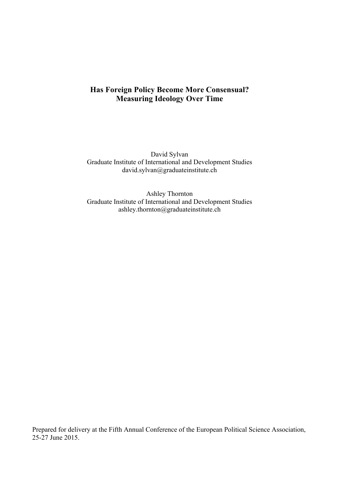# **Has Foreign Policy Become More Consensual? Measuring Ideology Over Time**

David Sylvan Graduate Institute of International and Development Studies david.sylvan@graduateinstitute.ch

Ashley Thornton Graduate Institute of International and Development Studies ashley.thornton@graduateinstitute.ch

Prepared for delivery at the Fifth Annual Conference of the European Political Science Association, 25-27 June 2015.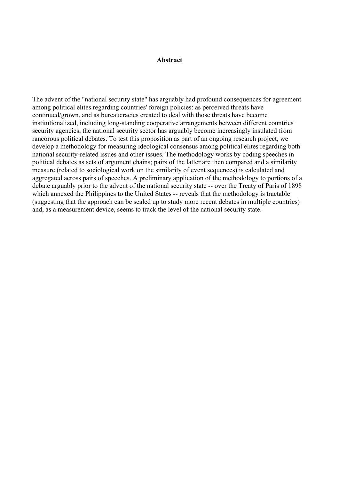## **Abstract**

The advent of the "national security state" has arguably had profound consequences for agreement among political elites regarding countries' foreign policies: as perceived threats have continued/grown, and as bureaucracies created to deal with those threats have become institutionalized, including long-standing cooperative arrangements between different countries' security agencies, the national security sector has arguably become increasingly insulated from rancorous political debates. To test this proposition as part of an ongoing research project, we develop a methodology for measuring ideological consensus among political elites regarding both national security-related issues and other issues. The methodology works by coding speeches in political debates as sets of argument chains; pairs of the latter are then compared and a similarity measure (related to sociological work on the similarity of event sequences) is calculated and aggregated across pairs of speeches. A preliminary application of the methodology to portions of a debate arguably prior to the advent of the national security state -- over the Treaty of Paris of 1898 which annexed the Philippines to the United States -- reveals that the methodology is tractable (suggesting that the approach can be scaled up to study more recent debates in multiple countries) and, as a measurement device, seems to track the level of the national security state.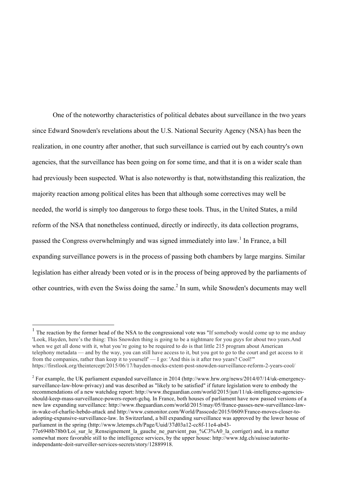One of the noteworthy characteristics of political debates about surveillance in the two years since Edward Snowden's revelations about the U.S. National Security Agency (NSA) has been the realization, in one country after another, that such surveillance is carried out by each country's own agencies, that the surveillance has been going on for some time, and that it is on a wider scale than had previously been suspected. What is also noteworthy is that, notwithstanding this realization, the majority reaction among political elites has been that although some correctives may well be needed, the world is simply too dangerous to forgo these tools. Thus, in the United States, a mild reform of the NSA that nonetheless continued, directly or indirectly, its data collection programs, passed the Congress overwhelmingly and was signed immediately into law.<sup>1</sup> In France, a bill expanding surveillance powers is in the process of passing both chambers by large margins. Similar legislation has either already been voted or is in the process of being approved by the parliaments of other countries, with even the Swiss doing the same.<sup>2</sup> In sum, while Snowden's documents may well

<sup>&</sup>lt;sup>1</sup> The reaction by the former head of the NSA to the congressional vote was "If somebody would come up to me andsay 'Look, Hayden, here's the thing: This Snowden thing is going to be a nightmare for you guys for about two years.And when we get all done with it, what you're going to be required to do is that little 215 program about American telephony metadata — and by the way, you can still have access to it, but you got to go to the court and get access to it from the companies, rather than keep it to yourself' — I go: 'And this is it after two years? Cool!'" https://firstlook.org/theintercept/2015/06/17/hayden-mocks-extent-post-snowden-surveillance-reform-2-years-cool/

 $^{2}$  For example, the UK parliament expanded surveillance in 2014 (http://www.hrw.org/news/2014/07/14/uk-emergencysurveillance-law-blow-privacy) and was described as "likely to be satisfied" if future legislation were to embody the recommendations of a new watchdog report: http://www.theguardian.com/world/2015/jun/11/uk-intelligence-agenciesshould-keep-mass-surveillance-powers-report-gchq. In France, both houses of parliament have now passed versions of a new law expanding surveillance: http://www.theguardian.com/world/2015/may/05/france-passes-new-surveillance-lawin-wake-of-charlie-hebdo-attack and http://www.csmonitor.com/World/Passcode/2015/0609/France-moves-closer-toadopting-expansive-surveillance-law. In Switzerland, a bill expanding surveillance was approved by the lower house of parliament in the spring (http://www.letemps.ch/Page/Uuid/37d03a12-cc8f-11e4-ab43-

<sup>77</sup>e6948b78b0/Loi\_sur\_le\_Renseignement\_la\_gauche\_ne\_parvient\_pas\_%C3%A0\_la\_corriger) and, in a matter somewhat more favorable still to the intelligence services, by the upper house: http://www.tdg.ch/suisse/autoriteindependante-doit-surveiller-services-secrets/story/12889918.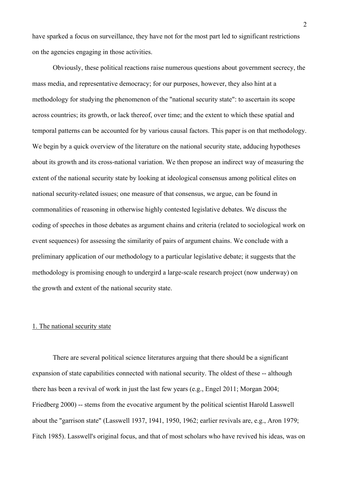have sparked a focus on surveillance, they have not for the most part led to significant restrictions on the agencies engaging in those activities.

Obviously, these political reactions raise numerous questions about government secrecy, the mass media, and representative democracy; for our purposes, however, they also hint at a methodology for studying the phenomenon of the "national security state": to ascertain its scope across countries; its growth, or lack thereof, over time; and the extent to which these spatial and temporal patterns can be accounted for by various causal factors. This paper is on that methodology. We begin by a quick overview of the literature on the national security state, adducing hypotheses about its growth and its cross-national variation. We then propose an indirect way of measuring the extent of the national security state by looking at ideological consensus among political elites on national security-related issues; one measure of that consensus, we argue, can be found in commonalities of reasoning in otherwise highly contested legislative debates. We discuss the coding of speeches in those debates as argument chains and criteria (related to sociological work on event sequences) for assessing the similarity of pairs of argument chains. We conclude with a preliminary application of our methodology to a particular legislative debate; it suggests that the methodology is promising enough to undergird a large-scale research project (now underway) on the growth and extent of the national security state.

### 1. The national security state

There are several political science literatures arguing that there should be a significant expansion of state capabilities connected with national security. The oldest of these -- although there has been a revival of work in just the last few years (e.g., Engel 2011; Morgan 2004; Friedberg 2000) -- stems from the evocative argument by the political scientist Harold Lasswell about the "garrison state" (Lasswell 1937, 1941, 1950, 1962; earlier revivals are, e.g., Aron 1979; Fitch 1985). Lasswell's original focus, and that of most scholars who have revived his ideas, was on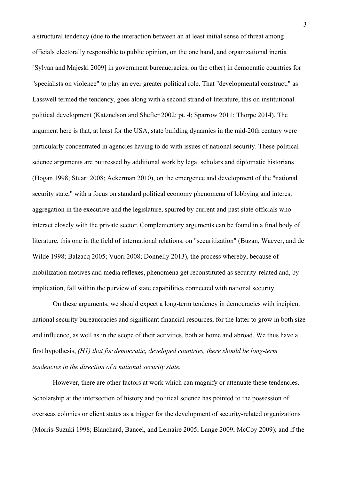a structural tendency (due to the interaction between an at least initial sense of threat among officials electorally responsible to public opinion, on the one hand, and organizational inertia [Sylvan and Majeski 2009] in government bureaucracies, on the other) in democratic countries for "specialists on violence" to play an ever greater political role. That "developmental construct," as Lasswell termed the tendency, goes along with a second strand of literature, this on institutional political development (Katznelson and Shefter 2002: pt. 4; Sparrow 2011; Thorpe 2014). The argument here is that, at least for the USA, state building dynamics in the mid-20th century were particularly concentrated in agencies having to do with issues of national security. These political science arguments are buttressed by additional work by legal scholars and diplomatic historians (Hogan 1998; Stuart 2008; Ackerman 2010), on the emergence and development of the "national security state," with a focus on standard political economy phenomena of lobbying and interest aggregation in the executive and the legislature, spurred by current and past state officials who interact closely with the private sector. Complementary arguments can be found in a final body of literature, this one in the field of international relations, on "securitization" (Buzan, Waever, and de Wilde 1998; Balzacq 2005; Vuori 2008; Donnelly 2013), the process whereby, because of mobilization motives and media reflexes, phenomena get reconstituted as security-related and, by implication, fall within the purview of state capabilities connected with national security.

On these arguments, we should expect a long-term tendency in democracies with incipient national security bureaucracies and significant financial resources, for the latter to grow in both size and influence, as well as in the scope of their activities, both at home and abroad. We thus have a first hypothesis, *(H1) that for democratic, developed countries, there should be long-term tendencies in the direction of a national security state.*

However, there are other factors at work which can magnify or attenuate these tendencies. Scholarship at the intersection of history and political science has pointed to the possession of overseas colonies or client states as a trigger for the development of security-related organizations (Morris-Suzuki 1998; Blanchard, Bancel, and Lemaire 2005; Lange 2009; McCoy 2009); and if the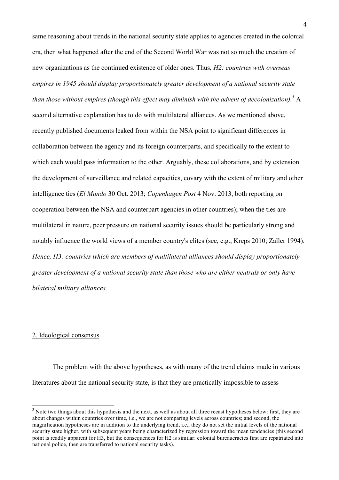same reasoning about trends in the national security state applies to agencies created in the colonial era, then what happened after the end of the Second World War was not so much the creation of new organizations as the continued existence of older ones. Thus*, H2: countries with overseas empires in 1945 should display proportionately greater development of a national security state than those without empires (though this effect may diminish with the advent of decolonization).<sup>3</sup>* A second alternative explanation has to do with multilateral alliances. As we mentioned above, recently published documents leaked from within the NSA point to significant differences in collaboration between the agency and its foreign counterparts, and specifically to the extent to which each would pass information to the other. Arguably, these collaborations, and by extension the development of surveillance and related capacities, covary with the extent of military and other intelligence ties (*El Mundo* 30 Oct. 2013; *Copenhagen Post* 4 Nov. 2013, both reporting on cooperation between the NSA and counterpart agencies in other countries); when the ties are multilateral in nature, peer pressure on national security issues should be particularly strong and notably influence the world views of a member country's elites (see, e.g., Kreps 2010; Zaller 1994). *Hence, H3: countries which are members of multilateral alliances should display proportionately greater development of a national security state than those who are either neutrals or only have bilateral military alliances.*

#### 2. Ideological consensus

The problem with the above hypotheses, as with many of the trend claims made in various literatures about the national security state, is that they are practically impossible to assess

 $3$  Note two things about this hypothesis and the next, as well as about all three recast hypotheses below: first, they are about changes within countries over time, i.e., we are not comparing levels across countries; and second, the magnification hypotheses are in addition to the underlying trend, i.e., they do not set the initial levels of the national security state higher, with subsequent years being characterized by regression toward the mean tendencies (this second point is readily apparent for H3, but the consequences for H2 is similar: colonial bureaucracies first are repatriated into national police, then are transferred to national security tasks).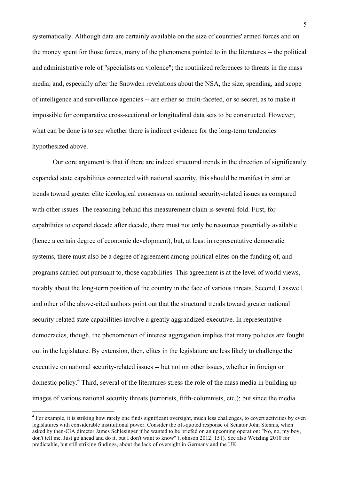systematically. Although data are certainly available on the size of countries' armed forces and on the money spent for those forces, many of the phenomena pointed to in the literatures -- the political and administrative role of "specialists on violence"; the routinized references to threats in the mass media; and, especially after the Snowden revelations about the NSA, the size, spending, and scope of intelligence and surveillance agencies -- are either so multi-faceted, or so secret, as to make it impossible for comparative cross-sectional or longitudinal data sets to be constructed. However, what can be done is to see whether there is indirect evidence for the long-term tendencies hypothesized above.

Our core argument is that if there are indeed structural trends in the direction of significantly expanded state capabilities connected with national security, this should be manifest in similar trends toward greater elite ideological consensus on national security-related issues as compared with other issues. The reasoning behind this measurement claim is several-fold. First, for capabilities to expand decade after decade, there must not only be resources potentially available (hence a certain degree of economic development), but, at least in representative democratic systems, there must also be a degree of agreement among political elites on the funding of, and programs carried out pursuant to, those capabilities. This agreement is at the level of world views, notably about the long-term position of the country in the face of various threats. Second, Lasswell and other of the above-cited authors point out that the structural trends toward greater national security-related state capabilities involve a greatly aggrandized executive. In representative democracies, though, the phenomenon of interest aggregation implies that many policies are fought out in the legislature. By extension, then, elites in the legislature are less likely to challenge the executive on national security-related issues -- but not on other issues, whether in foreign or domestic policy.4 Third, several of the literatures stress the role of the mass media in building up images of various national security threats (terrorists, fifth-columnists, etc.); but since the media

<sup>&</sup>lt;sup>4</sup> For example, it is striking how rarely one finds significant oversight, much less challenges, to covert activities by even legislatures with considerable institutional power. Consider the oft-quoted response of Senator John Stennis, when asked by then-CIA director James Schlesinger if he wanted to be briefed on an upcoming operation: "No, no, my boy, don't tell me. Just go ahead and do it, but I don't want to know" (Johnson 2012: 151). See also Wetzling 2010 for predictable, but still striking findings, about the lack of oversight in Germany and the UK.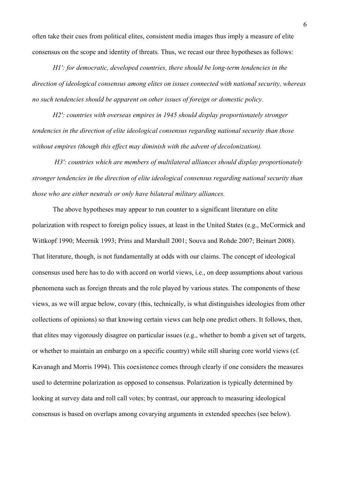often take their cues from political elites, consistent media images thus imply a measure of elite consensus on the scope and identity of threats. Thus, we recast our three hypotheses as follows:

*H1′: for democratic, developed countries, there should be long-term tendencies in the direction of ideological consensus among elites on issues connected with national security, whereas no such tendencies should be apparent on other issues of foreign or domestic policy.*

*H2′: countries with overseas empires in 1945 should display proportionately stronger tendencies in the direction of elite ideological consensus regarding national security than those without empires (though this effect may diminish with the advent of decolonization).*

*H3′: countries which are members of multilateral alliances should display proportionately stronger tendencies in the direction of elite ideological consensus regarding national security than those who are either neutrals or only have bilateral military alliances.*

The above hypotheses may appear to run counter to a significant literature on elite polarization with respect to foreign policy issues, at least in the United States (e.g., McCormick and Wittkopf 1990; Meernik 1993; Prins and Marshall 2001; Souva and Rohde 2007; Beinart 2008). That literature, though, is not fundamentally at odds with our claims. The concept of ideological consensus used here has to do with accord on world views, i.e., on deep assumptions about various phenomena such as foreign threats and the role played by various states. The components of these views, as we will argue below, covary (this, technically, is what distinguishes ideologies from other collections of opinions) so that knowing certain views can help one predict others. It follows, then, that elites may vigorously disagree on particular issues (e.g., whether to bomb a given set of targets, or whether to maintain an embargo on a specific country) while still sharing core world views (cf. Kavanagh and Morris 1994). This coexistence comes through clearly if one considers the measures used to determine polarization as opposed to consensus. Polarization is typically determined by looking at survey data and roll call votes; by contrast, our approach to measuring ideological consensus is based on overlaps among covarying arguments in extended speeches (see below).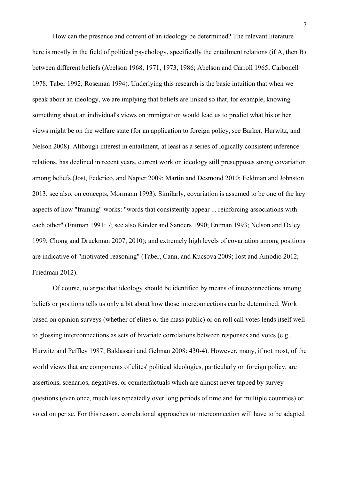How can the presence and content of an ideology be determined? The relevant literature here is mostly in the field of political psychology, specifically the entailment relations (if A, then B) between different beliefs (Abelson 1968, 1971, 1973, 1986; Abelson and Carroll 1965; Carbonell 1978; Taber 1992; Roseman 1994). Underlying this research is the basic intuition that when we speak about an ideology, we are implying that beliefs are linked so that, for example, knowing something about an individual's views on immigration would lead us to predict what his or her views might be on the welfare state (for an application to foreign policy, see Barker, Hurwitz, and Nelson 2008). Although interest in entailment, at least as a series of logically consistent inference relations, has declined in recent years, current work on ideology still presupposes strong covariation among beliefs (Jost, Federico, and Napier 2009; Martin and Desmond 2010; Feldman and Johnston 2013; see also, on concepts, Mormann 1993). Similarly, covariation is assumed to be one of the key aspects of how "framing" works: "words that consistently appear ... reinforcing associations with each other" (Entman 1991: 7; see also Kinder and Sanders 1990; Entman 1993; Nelson and Oxley 1999; Chong and Druckman 2007, 2010); and extremely high levels of covariation among positions are indicative of "motivated reasoning" (Taber, Cann, and Kucsova 2009; Jost and Amodio 2012; Friedman 2012).

Of course, to argue that ideology should be identified by means of interconnections among beliefs or positions tells us only a bit about how those interconnections can be determined. Work based on opinion surveys (whether of elites or the mass public) or on roll call votes lends itself well to glossing interconnections as sets of bivariate correlations between responses and votes (e.g., Hurwitz and Peffley 1987; Baldassari and Gelman 2008: 430-4). However, many, if not most, of the world views that are components of elites' political ideologies, particularly on foreign policy, are assertions, scenarios, negatives, or counterfactuals which are almost never tapped by survey questions (even once, much less repeatedly over long periods of time and for multiple countries) or voted on per se. For this reason, correlational approaches to interconnection will have to be adapted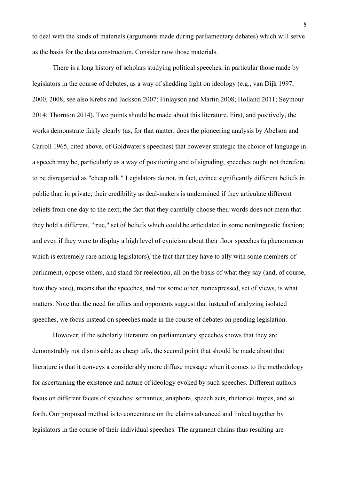to deal with the kinds of materials (arguments made during parliamentary debates) which will serve as the basis for the data construction. Consider now those materials.

There is a long history of scholars studying political speeches, in particular those made by legislators in the course of debates, as a way of shedding light on ideology (e.g., van Dijk 1997, 2000, 2008; see also Krebs and Jackson 2007; Finlayson and Martin 2008; Holland 2011; Seymour 2014; Thornton 2014). Two points should be made about this literature. First, and positively, the works demonstrate fairly clearly (as, for that matter, does the pioneering analysis by Abelson and Carroll 1965, cited above, of Goldwater's speeches) that however strategic the choice of language in a speech may be, particularly as a way of positioning and of signaling, speeches ought not therefore to be disregarded as "cheap talk." Legislators do not, in fact, evince significantly different beliefs in public than in private; their credibility as deal-makers is undermined if they articulate different beliefs from one day to the next; the fact that they carefully choose their words does not mean that they hold a different, "true," set of beliefs which could be articulated in some nonlinguistic fashion; and even if they were to display a high level of cynicism about their floor speeches (a phenomenon which is extremely rare among legislators), the fact that they have to ally with some members of parliament, oppose others, and stand for reelection, all on the basis of what they say (and, of course, how they vote), means that the speeches, and not some other, nonexpressed, set of views, is what matters. Note that the need for allies and opponents suggest that instead of analyzing isolated speeches, we focus instead on speeches made in the course of debates on pending legislation.

However, if the scholarly literature on parliamentary speeches shows that they are demonstrably not dismissable as cheap talk, the second point that should be made about that literature is that it conveys a considerably more diffuse message when it comes to the methodology for ascertaining the existence and nature of ideology evoked by such speeches. Different authors focus on different facets of speeches: semantics, anaphora, speech acts, rhetorical tropes, and so forth. Our proposed method is to concentrate on the claims advanced and linked together by legislators in the course of their individual speeches. The argument chains thus resulting are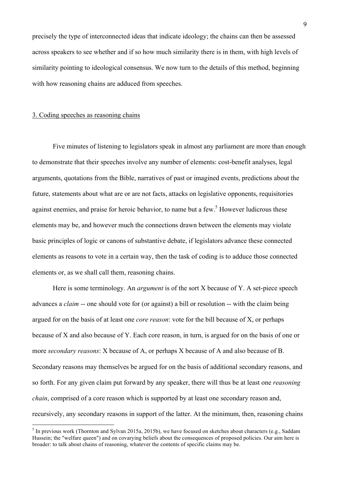precisely the type of interconnected ideas that indicate ideology; the chains can then be assessed across speakers to see whether and if so how much similarity there is in them, with high levels of similarity pointing to ideological consensus. We now turn to the details of this method, beginning with how reasoning chains are adduced from speeches.

#### 3. Coding speeches as reasoning chains

Five minutes of listening to legislators speak in almost any parliament are more than enough to demonstrate that their speeches involve any number of elements: cost-benefit analyses, legal arguments, quotations from the Bible, narratives of past or imagined events, predictions about the future, statements about what are or are not facts, attacks on legislative opponents, requisitories against enemies, and praise for heroic behavior, to name but a few.<sup>5</sup> However ludicrous these elements may be, and however much the connections drawn between the elements may violate basic principles of logic or canons of substantive debate, if legislators advance these connected elements as reasons to vote in a certain way, then the task of coding is to adduce those connected elements or, as we shall call them, reasoning chains.

Here is some terminology. An *argument* is of the sort X because of Y. A set-piece speech advances a *claim* -- one should vote for (or against) a bill or resolution -- with the claim being argued for on the basis of at least one *core reason*: vote for the bill because of X, or perhaps because of X and also because of Y. Each core reason, in turn, is argued for on the basis of one or more *secondary reasons*: X because of A, or perhaps X because of A and also because of B. Secondary reasons may themselves be argued for on the basis of additional secondary reasons, and so forth. For any given claim put forward by any speaker, there will thus be at least one *reasoning chain*, comprised of a core reason which is supported by at least one secondary reason and, recursively, any secondary reasons in support of the latter. At the minimum, then, reasoning chains

 $5$  In previous work (Thornton and Sylvan 2015a, 2015b), we have focused on sketches about characters (e.g., Saddam Hussein; the "welfare queen") and on covarying beliefs about the consequences of proposed policies. Our aim here is broader: to talk about chains of reasoning, whatever the contents of specific claims may be.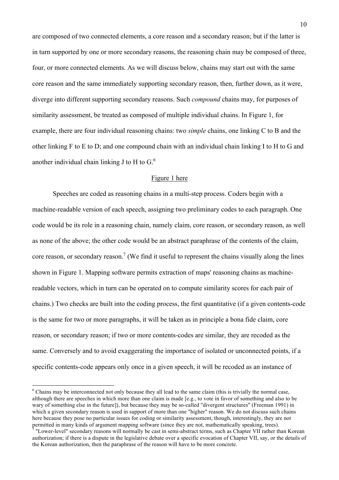are composed of two connected elements, a core reason and a secondary reason; but if the latter is in turn supported by one or more secondary reasons, the reasoning chain may be composed of three, four, or more connected elements. As we will discuss below, chains may start out with the same core reason and the same immediately supporting secondary reason, then, further down, as it were, diverge into different supporting secondary reasons. Such *compound* chains may, for purposes of similarity assessment, be treated as composed of multiple individual chains. In Figure 1, for example, there are four individual reasoning chains: two *simple* chains, one linking C to B and the other linking F to E to D; and one compound chain with an individual chain linking I to H to G and another individual chain linking J to H to  $G^6$ .

## Figure 1 here

Speeches are coded as reasoning chains in a multi-step process. Coders begin with a machine-readable version of each speech, assigning two preliminary codes to each paragraph. One code would be its role in a reasoning chain, namely claim, core reason, or secondary reason, as well as none of the above; the other code would be an abstract paraphrase of the contents of the claim, core reason, or secondary reason.<sup>7</sup> (We find it useful to represent the chains visually along the lines shown in Figure 1. Mapping software permits extraction of maps' reasoning chains as machinereadable vectors, which in turn can be operated on to compute similarity scores for each pair of chains.) Two checks are built into the coding process, the first quantitative (if a given contents-code is the same for two or more paragraphs, it will be taken as in principle a bona fide claim, core reason, or secondary reason; if two or more contents-codes are similar, they are recoded as the same. Conversely and to avoid exaggerating the importance of isolated or unconnected points, if a specific contents-code appears only once in a given speech, it will be recoded as an instance of

<sup>&</sup>lt;sup>6</sup> Chains may be interconnected not only because they all lead to the same claim (this is trivially the normal case, although there are speeches in which more than one claim is made [e.g., to vote in favor of something and also to be wary of something else in the future]), but because they may be so-called "divergent structures" (Freeman 1991) in which a given secondary reason is used in support of more than one "higher" reason. We do not discuss such chains here because they pose no particular issues for coding or similarity assessment, though, interestingly, they are not permitted in many kinds of argument mapping software (since they are not, mathematically speaking, trees).

 $^7$  "Lower-level" secondary reasons will normally be cast in semi-abstract terms, such as Chapter VII rather than Korean authorization; if there is a dispute in the legislative debate over a specific evocation of Chapter VII, say, or the details of the Korean authorization, then the paraphrase of the reason will have to be more concrete.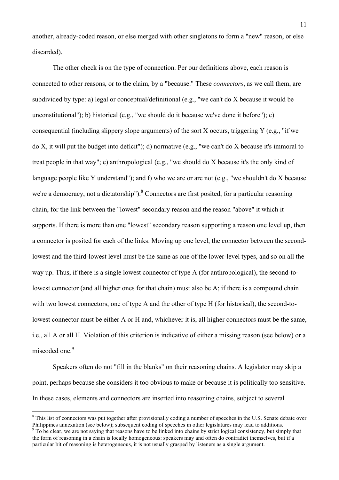another, already-coded reason, or else merged with other singletons to form a "new" reason, or else discarded).

The other check is on the type of connection. Per our definitions above, each reason is connected to other reasons, or to the claim, by a "because." These *connectors*, as we call them, are subdivided by type: a) legal or conceptual/definitional (e.g., "we can't do X because it would be unconstitutional"); b) historical (e.g., "we should do it because we've done it before"); c) consequential (including slippery slope arguments) of the sort X occurs, triggering Y (e.g., "if we do X, it will put the budget into deficit"); d) normative (e.g., "we can't do X because it's immoral to treat people in that way"; e) anthropological (e.g., "we should do X because it's the only kind of language people like Y understand"); and f) who we are or are not (e.g., "we shouldn't do X because we're a democracy, not a dictatorship").<sup>8</sup> Connectors are first posited, for a particular reasoning chain, for the link between the "lowest" secondary reason and the reason "above" it which it supports. If there is more than one "lowest" secondary reason supporting a reason one level up, then a connector is posited for each of the links. Moving up one level, the connector between the secondlowest and the third-lowest level must be the same as one of the lower-level types, and so on all the way up. Thus, if there is a single lowest connector of type A (for anthropological), the second-tolowest connector (and all higher ones for that chain) must also be A; if there is a compound chain with two lowest connectors, one of type A and the other of type H (for historical), the second-tolowest connector must be either A or H and, whichever it is, all higher connectors must be the same, i.e., all A or all H. Violation of this criterion is indicative of either a missing reason (see below) or a miscoded one.<sup>9</sup>

Speakers often do not "fill in the blanks" on their reasoning chains. A legislator may skip a point, perhaps because she considers it too obvious to make or because it is politically too sensitive. In these cases, elements and connectors are inserted into reasoning chains, subject to several

<sup>&</sup>lt;sup>8</sup> This list of connectors was put together after provisionally coding a number of speeches in the U.S. Senate debate over Philippines annexation (see below); subsequent coding of speeches in other legislatures may lead to additions.

<sup>&</sup>lt;sup>9</sup> To be clear, we are not saying that reasons have to be linked into chains by strict logical consistency, but simply that the form of reasoning in a chain is locally homogeneous: speakers may and often do contradict themselves, but if a particular bit of reasoning is heterogeneous, it is not usually grasped by listeners as a single argument.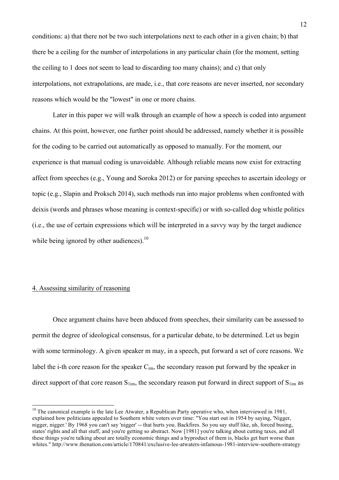conditions: a) that there not be two such interpolations next to each other in a given chain; b) that there be a ceiling for the number of interpolations in any particular chain (for the moment, setting the ceiling to 1 does not seem to lead to discarding too many chains); and c) that only interpolations, not extrapolations, are made, i.e., that core reasons are never inserted, nor secondary reasons which would be the "lowest" in one or more chains.

Later in this paper we will walk through an example of how a speech is coded into argument chains. At this point, however, one further point should be addressed, namely whether it is possible for the coding to be carried out automatically as opposed to manually. For the moment, our experience is that manual coding is unavoidable. Although reliable means now exist for extracting affect from speeches (e.g., Young and Soroka 2012) or for parsing speeches to ascertain ideology or topic (e.g., Slapin and Proksch 2014), such methods run into major problems when confronted with deixis (words and phrases whose meaning is context-specific) or with so-called dog whistle politics (i.e., the use of certain expressions which will be interpreted in a savvy way by the target audience while being ignored by other audiences). $^{10}$ 

## 4. Assessing similarity of reasoning

Once argument chains have been abduced from speeches, their similarity can be assessed to permit the degree of ideological consensus, for a particular debate, to be determined. Let us begin with some terminology. A given speaker m may, in a speech, put forward a set of core reasons. We label the i-th core reason for the speaker  $C_{im}$ , the secondary reason put forward by the speaker in direct support of that core reason  $S_{1im}$ , the secondary reason put forward in direct support of  $S_{1im}$  as

 $10$  The canonical example is the late Lee Atwater, a Republican Party operative who, when interviewed in 1981, explained how politicians appealed to Southern white voters over time: "You start out in 1954 by saying, 'Nigger, nigger, nigger.' By 1968 you can't say 'nigger' -- that hurts you. Backfires. So you say stuff like, uh, forced busing, states' rights and all that stuff, and you're getting so abstract. Now [1981] you're talking about cutting taxes, and all these things you're talking about are totally economic things and a byproduct of them is, blacks get hurt worse than whites." http://www.thenation.com/article/170841/exclusive-lee-atwaters-infamous-1981-interview-southern-strategy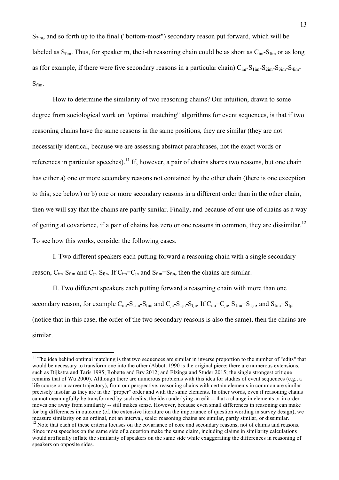$S_{2im}$ , and so forth up to the final ("bottom-most") secondary reason put forward, which will be labeled as  $S_{\text{fim}}$ . Thus, for speaker m, the i-th reasoning chain could be as short as  $C_{\text{im}}$ - $S_{\text{fim}}$  or as long as (for example, if there were five secondary reasons in a particular chain)  $C_{im} - S_{1im} - S_{2im} - S_{4im} - S_{4im}$ Sfim.

How to determine the similarity of two reasoning chains? Our intuition, drawn to some degree from sociological work on "optimal matching" algorithms for event sequences, is that if two reasoning chains have the same reasons in the same positions, they are similar (they are not necessarily identical, because we are assessing abstract paraphrases, not the exact words or references in particular speeches).<sup>11</sup> If, however, a pair of chains shares two reasons, but one chain has either a) one or more secondary reasons not contained by the other chain (there is one exception to this; see below) or b) one or more secondary reasons in a different order than in the other chain, then we will say that the chains are partly similar. Finally, and because of our use of chains as a way of getting at covariance, if a pair of chains has zero or one reasons in common, they are dissimilar.<sup>12</sup> To see how this works, consider the following cases.

I. Two different speakers each putting forward a reasoning chain with a single secondary reason,  $C_{im}$ - $S_{fin}$  and  $C_{in}$ - $S_{fin}$ . If  $C_{im}$ = $C_{in}$  and  $S_{fin}$ = $S_{fin}$ , then the chains are similar.

II. Two different speakers each putting forward a reasoning chain with more than one secondary reason, for example  $C_{im} - S_{1im} - S_{fin}$  and  $C_{in} - S_{1im} - S_{fin}$ . If  $C_{im} = C_{in}$ ,  $S_{1im} = S_{1in}$ , and  $S_{fin} = S_{fin}$ (notice that in this case, the order of the two secondary reasons is also the same), then the chains are similar.

 $11$  The idea behind optimal matching is that two sequences are similar in inverse proportion to the number of "edits" that would be necessary to transform one into the other (Abbott 1990 is the original piece; there are numerous extensions, such as Dijkstra and Taris 1995; Robette and Bry 2012; and Elzinga and Studer 2015; the single strongest critique remains that of Wu 2000). Although there are numerous problems with this idea for studies of event sequences (e.g., a life course or a career trajectory), from our perspective, reasoning chains with certain elements in common are similar precisely insofar as they are in the "proper" order and with the same elements. In other words, even if reasoning chains cannot meaningfully be transformed by such edits, the idea underlying an edit -- that a change in elements or in order moves one away from similarity -- still makes sense. However, because even small differences in reasoning can make for big differences in outcome (cf. the extensive literature on the importance of question wording in survey design), we measure similarity on an ordinal, not an interval, scale: reasoning chains are similar, partly similar, or dissimilar.  $12$  Note that each of these criteria focuses on the covariance of core and secondary reasons, not of claims and reasons. Since most speeches on the same side of a question make the same claim, including claims in similarity calculations would artificially inflate the similarity of speakers on the same side while exaggerating the differences in reasoning of speakers on opposite sides.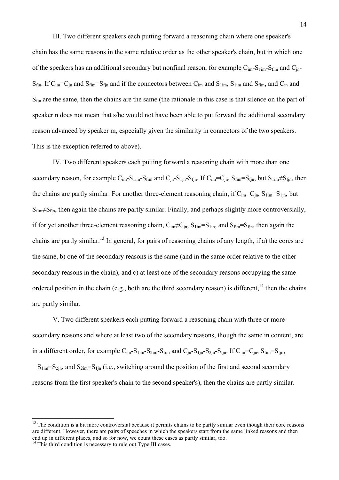III. Two different speakers each putting forward a reasoning chain where one speaker's chain has the same reasons in the same relative order as the other speaker's chain, but in which one of the speakers has an additional secondary but nonfinal reason, for example  $C_{im} - S_{1im} - S_{fin}$  and  $C_{in}$ - $S_{fin}$ . If  $C_{im} = C_{in}$  and  $S_{fin} = S_{fin}$  and if the connectors between  $C_{im}$  and  $S_{1im}$ ,  $S_{1im}$  and  $S_{fin}$ , and  $C_{in}$  and  $S<sub>fin</sub>$  are the same, then the chains are the same (the rationale in this case is that silence on the part of speaker n does not mean that s/he would not have been able to put forward the additional secondary reason advanced by speaker m, especially given the similarity in connectors of the two speakers. This is the exception referred to above).

IV. Two different speakers each putting forward a reasoning chain with more than one secondary reason, for example  $C_{im}$ - $S_{lim}$ - $S_{fin}$  and  $C_{in}$ - $S_{lin}$ - $S_{fin}$ . If  $C_{im}$ = $C_{in}$ ,  $S_{fin}$ = $S_{fin}$ , but  $S_{lim}$  $\neq$  $S_{fin}$ , then the chains are partly similar. For another three-element reasoning chain, if  $C_{im} = C_{in}$ ,  $S_{1im} = S_{1in}$ , but  $S_{\text{fim}}\neq S_{\text{fin}}$ , then again the chains are partly similar. Finally, and perhaps slightly more controversially, if for yet another three-element reasoning chain,  $C_{im} \neq C_{in}$ ,  $S_{1im} = S_{1in}$ , and  $S_{fin} = S_{fin}$ , then again the chains are partly similar.<sup>13</sup> In general, for pairs of reasoning chains of any length, if a) the cores are the same, b) one of the secondary reasons is the same (and in the same order relative to the other secondary reasons in the chain), and c) at least one of the secondary reasons occupying the same ordered position in the chain (e.g., both are the third secondary reason) is different,<sup>14</sup> then the chains are partly similar.

V. Two different speakers each putting forward a reasoning chain with three or more secondary reasons and where at least two of the secondary reasons, though the same in content, are in a different order, for example  $C_{im} - S_{1im} - S_{2im} - S_{fin}$  and  $C_{in} - S_{1in} - S_{2in} - S_{fin}$ . If  $C_{im} = C_{in}$ ,  $S_{fim} = S_{fin}$ ,

 $S_{1im}=S_{2in}$ , and  $S_{2im}=S_{1in}$  (i.e., switching around the position of the first and second secondary reasons from the first speaker's chain to the second speaker's), then the chains are partly similar.

 $13$  The condition is a bit more controversial because it permits chains to be partly similar even though their core reasons are different. However, there are pairs of speeches in which the speakers start from the same linked reasons and then end up in different places, and so for now, we count these cases as partly similar, too.

<sup>&</sup>lt;sup>14</sup> This third condition is necessary to rule out Type III cases.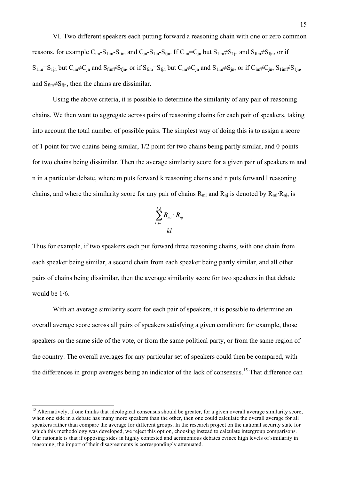VI. Two different speakers each putting forward a reasoning chain with one or zero common reasons, for example  $C_{im} - S_{1im} - S_{fin}$  and  $C_{in} - S_{1jn} - S_{fin}$ . If  $C_{im} = C_{in}$  but  $S_{1im} \neq S_{1jn}$  and  $S_{fin} \neq S_{fin}$ , or if  $S_{1im}=S_{1jn}$  but  $C_{im}\neq C_{in}$  and  $S_{fim}\neq S_{fjn}$ , or if  $S_{fim}=S_{fjn}$  but  $C_{im}\neq C_{in}$  and  $S_{1im}\neq S_{in}$ , or if  $C_{im}\neq C_{in}$ ,  $S_{1im}\neq S_{1jn}$ , and  $S_{\text{film}} \neq S_{\text{fin}}$ , then the chains are dissimilar.

Using the above criteria, it is possible to determine the similarity of any pair of reasoning chains. We then want to aggregate across pairs of reasoning chains for each pair of speakers, taking into account the total number of possible pairs. The simplest way of doing this is to assign a score of 1 point for two chains being similar, 1/2 point for two chains being partly similar, and 0 points for two chains being dissimilar. Then the average similarity score for a given pair of speakers m and n in a particular debate, where m puts forward k reasoning chains and n puts forward l reasoning chains, and where the similarity score for any pair of chains  $R_{mi}$  and  $R_{ni}$  is denoted by  $R_{mi}$ .  $R_{nj}$ , is

$$
\frac{\sum_{i,j=1}^{k,l} R_{mi} \cdot R_{nj}}{kl}
$$

Thus for example, if two speakers each put forward three reasoning chains, with one chain from each speaker being similar, a second chain from each speaker being partly similar, and all other pairs of chains being dissimilar, then the average similarity score for two speakers in that debate would be 1/6.

With an average similarity score for each pair of speakers, it is possible to determine an overall average score across all pairs of speakers satisfying a given condition: for example, those speakers on the same side of the vote, or from the same political party, or from the same region of the country. The overall averages for any particular set of speakers could then be compared, with the differences in group averages being an indicator of the lack of consensus.<sup>15</sup> That difference can

<sup>&</sup>lt;sup>15</sup> Alternatively, if one thinks that ideological consensus should be greater, for a given overall average similarity score, when one side in a debate has many more speakers than the other, then one could calculate the overall average for all speakers rather than compare the average for different groups. In the research project on the national security state for which this methodology was developed, we reject this option, choosing instead to calculate intergroup comparisons. Our rationale is that if opposing sides in highly contested and acrimonious debates evince high levels of similarity in reasoning, the import of their disagreements is correspondingly attenuated.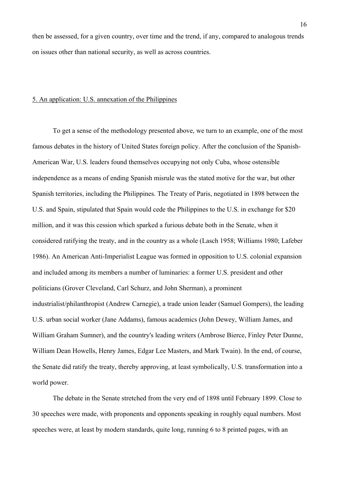then be assessed, for a given country, over time and the trend, if any, compared to analogous trends on issues other than national security, as well as across countries.

## 5. An application: U.S. annexation of the Philippines

To get a sense of the methodology presented above, we turn to an example, one of the most famous debates in the history of United States foreign policy. After the conclusion of the Spanish-American War, U.S. leaders found themselves occupying not only Cuba, whose ostensible independence as a means of ending Spanish misrule was the stated motive for the war, but other Spanish territories, including the Philippines. The Treaty of Paris, negotiated in 1898 between the U.S. and Spain, stipulated that Spain would cede the Philippines to the U.S. in exchange for \$20 million, and it was this cession which sparked a furious debate both in the Senate, when it considered ratifying the treaty, and in the country as a whole (Lasch 1958; Williams 1980; Lafeber 1986). An American Anti-Imperialist League was formed in opposition to U.S. colonial expansion and included among its members a number of luminaries: a former U.S. president and other politicians (Grover Cleveland, Carl Schurz, and John Sherman), a prominent industrialist/philanthropist (Andrew Carnegie), a trade union leader (Samuel Gompers), the leading U.S. urban social worker (Jane Addams), famous academics (John Dewey, William James, and William Graham Sumner), and the country's leading writers (Ambrose Bierce, Finley Peter Dunne, William Dean Howells, Henry James, Edgar Lee Masters, and Mark Twain). In the end, of course, the Senate did ratify the treaty, thereby approving, at least symbolically, U.S. transformation into a world power.

The debate in the Senate stretched from the very end of 1898 until February 1899. Close to 30 speeches were made, with proponents and opponents speaking in roughly equal numbers. Most speeches were, at least by modern standards, quite long, running 6 to 8 printed pages, with an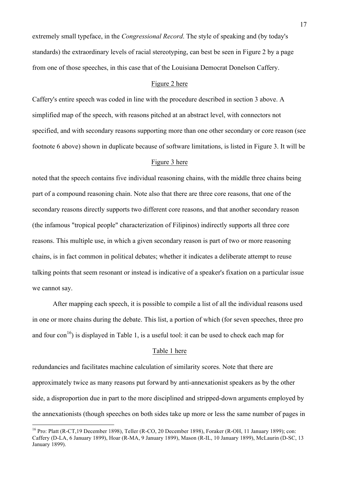extremely small typeface, in the *Congressional Record*. The style of speaking and (by today's standards) the extraordinary levels of racial stereotyping, can best be seen in Figure 2 by a page from one of those speeches, in this case that of the Louisiana Democrat Donelson Caffery.

## Figure 2 here

Caffery's entire speech was coded in line with the procedure described in section 3 above. A simplified map of the speech, with reasons pitched at an abstract level, with connectors not specified, and with secondary reasons supporting more than one other secondary or core reason (see footnote 6 above) shown in duplicate because of software limitations, is listed in Figure 3. It will be

#### Figure 3 here

noted that the speech contains five individual reasoning chains, with the middle three chains being part of a compound reasoning chain. Note also that there are three core reasons, that one of the secondary reasons directly supports two different core reasons, and that another secondary reason (the infamous "tropical people" characterization of Filipinos) indirectly supports all three core reasons. This multiple use, in which a given secondary reason is part of two or more reasoning chains, is in fact common in political debates; whether it indicates a deliberate attempt to reuse talking points that seem resonant or instead is indicative of a speaker's fixation on a particular issue we cannot say.

After mapping each speech, it is possible to compile a list of all the individual reasons used in one or more chains during the debate. This list, a portion of which (for seven speeches, three pro and four con<sup>16</sup>) is displayed in Table 1, is a useful tool: it can be used to check each map for

#### Table 1 here

redundancies and facilitates machine calculation of similarity scores. Note that there are approximately twice as many reasons put forward by anti-annexationist speakers as by the other side, a disproportion due in part to the more disciplined and stripped-down arguments employed by the annexationists (though speeches on both sides take up more or less the same number of pages in

 <sup>16</sup> Pro: Platt (R-CT,19 December 1898), Teller (R-CO, 20 December 1898), Foraker (R-OH, 11 January 1899); con: Caffery (D-LA, 6 January 1899), Hoar (R-MA, 9 January 1899), Mason (R-IL, 10 January 1899), McLaurin (D-SC, 13 January 1899).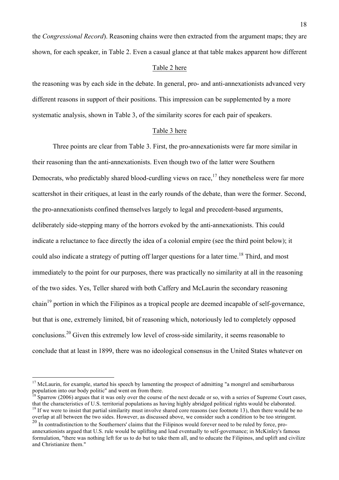the *Congressional Record*). Reasoning chains were then extracted from the argument maps; they are shown, for each speaker, in Table 2. Even a casual glance at that table makes apparent how different

#### Table 2 here

the reasoning was by each side in the debate. In general, pro- and anti-annexationists advanced very different reasons in support of their positions. This impression can be supplemented by a more systematic analysis, shown in Table 3, of the similarity scores for each pair of speakers.

#### Table 3 here

Three points are clear from Table 3. First, the pro-annexationists were far more similar in their reasoning than the anti-annexationists. Even though two of the latter were Southern Democrats, who predictably shared blood-curdling views on race,  $17$  they nonetheless were far more scattershot in their critiques, at least in the early rounds of the debate, than were the former. Second, the pro-annexationists confined themselves largely to legal and precedent-based arguments, deliberately side-stepping many of the horrors evoked by the anti-annexationists. This could indicate a reluctance to face directly the idea of a colonial empire (see the third point below); it could also indicate a strategy of putting off larger questions for a later time.<sup>18</sup> Third, and most immediately to the point for our purposes, there was practically no similarity at all in the reasoning of the two sides. Yes, Teller shared with both Caffery and McLaurin the secondary reasoning chain<sup>19</sup> portion in which the Filipinos as a tropical people are deemed incapable of self-governance, but that is one, extremely limited, bit of reasoning which, notoriously led to completely opposed conclusions.<sup>20</sup> Given this extremely low level of cross-side similarity, it seems reasonable to conclude that at least in 1899, there was no ideological consensus in the United States whatever on

 $17$  McLaurin, for example, started his speech by lamenting the prospect of admitting "a mongrel and semibarbarous population into our body politic" and went on from there.

Sparrow (2006) argues that it was only over the course of the next decade or so, with a series of Supreme Court cases, that the characteristics of U.S. territorial populations as having highly abridged political rights would be elaborated.  $19$  If we were to insist that partial similarity must involve shared core reasons (see footnote 13), then there would be no

overlap at all between the two sides. However, as discussed above, we consider such a condition to be too stringent. <sup>20</sup> In contradistinction to the Southerners' claims that the Filipinos would forever need to be ruled by force, pro-

annexationists argued that U.S. rule would be uplifting and lead eventually to self-governance; in McKinley's famous formulation, "there was nothing left for us to do but to take them all, and to educate the Filipinos, and uplift and civilize and Christianize them."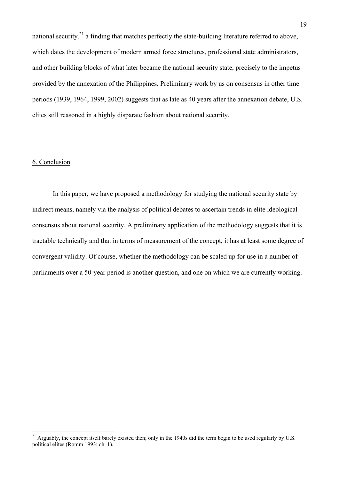national security,  $2^{1}$  a finding that matches perfectly the state-building literature referred to above, which dates the development of modern armed force structures, professional state administrators, and other building blocks of what later became the national security state, precisely to the impetus provided by the annexation of the Philippines. Preliminary work by us on consensus in other time periods (1939, 1964, 1999, 2002) suggests that as late as 40 years after the annexation debate, U.S. elites still reasoned in a highly disparate fashion about national security.

## 6. Conclusion

In this paper, we have proposed a methodology for studying the national security state by indirect means, namely via the analysis of political debates to ascertain trends in elite ideological consensus about national security. A preliminary application of the methodology suggests that it is tractable technically and that in terms of measurement of the concept, it has at least some degree of convergent validity. Of course, whether the methodology can be scaled up for use in a number of parliaments over a 50-year period is another question, and one on which we are currently working.

 $^{21}$  Arguably, the concept itself barely existed then; only in the 1940s did the term begin to be used regularly by U.S. political elites (Romm 1993: ch. 1).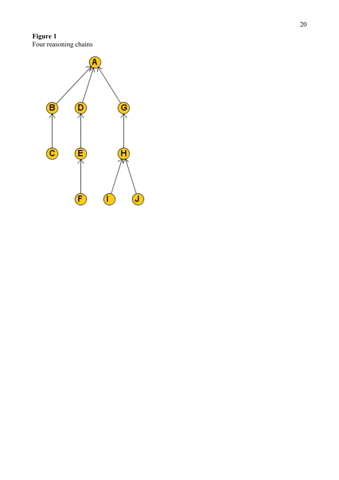**Figure 1** Four reasoning chains

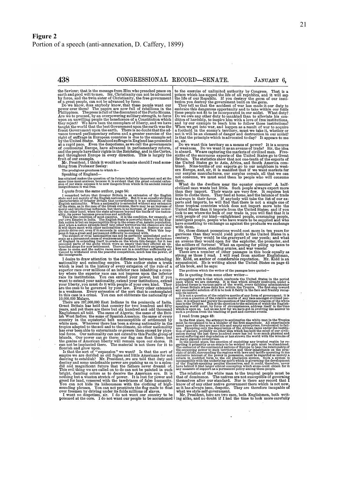**438**

the Saviour; that is the message from Him who preached peace on earth and good will to men. Sir, Christianity can not **be** advanced

by force, and the twin sister of Christianity, the free government<br>of a great people, can not be advanced by force.<br>Do we know, does anybody know, that these people want our<br>power over them? The papers are now full of rebe taught the world that the best Government upon the earth was the freest Government upon the earth. There is no doubt that the advance toward parlamentary reform and a greater exercise of the right of suffrage in European c

fruit of our example.<br>Mr. President, I think it would not be amiss should I read some-**The Production** Figure 1 is a world in the prodigious greatness to which it-

Speaking of England-

has attained makes the question of its future infinitely important and at the same time most anxious, because it is evident that the great colonial exten- sion of our state exposes it to new dangers from which in its ancient insular insignificance it was free.

I quote from the same author, page 54:<br>I quote from the same author, page 54:<br>I remarked before that Greater Britain is an extension of the English<br>state and not merely of the English nationality. But it is an equally str

I desire to draw attention to the difference between extending<br>mationality and extending empire. This author states a truth<br>which is read in the history of every extension of the rule of a<br>superior race over millions of an try where the superior race can not impress upon the inferior race its institutions. You can extend your power, but if you want to extend your nationality, extend your institutions, extend<br>your liberty, you must do it with people of your own kind. They<br>are the ones to be governed by your law. Levery other extension<br>is a weakness. Every extensi 10.000,000 Malays. There are **287,000,000** East Indians in the peninsula of India.

Great Britain has held that country for two hundred and fifty years, and **yet** there are there but six hundred and odd thousand Englishmen all told. The same of Algeria; the same of the Brit- ish West Indies; the same of Spanish America; the same of every country in the equiatorial belt unsusceptible of settlement **by** white men. Wherever there has been a strong nationality in the tropics adapted to the soil and to the cloudinate, no other nationality the has ever been able to exterminate or govern them except by physical force. Our nati

empire we are derided as old fogies and little Americans for not<br>desiring to establish? Mr. President, we are told that duty and<br>destiny and some undefinable power are pushing us on to a splen-<br>did and magnificent future t nothing but a wanton stretch of power. It is used to decive the American eye. It is<br>pright, dazzling colors as to deceive the American eye. It is<br>greed for land, venered with the tawdriness of false humanity.<br>You can not h

to the exercise of unlimited authority by Congress. That is a poison which has sapped the life of all republics, and it will sapple the life of ur Republic. If you destroy the germ of our institution you destroy the govern

embrace this dangerous opportunity and to take within our folds<br>these people not fit to be incorporated in our midst. What duty?<br>Do we owe any other duty to mankind than to alleviate his condition of hardship, to inspire him with a love of free institutions, and **by** our example to teach him to follow those institutions? When we get into war, and happen as a result of war to acquire<br>a foothold in the enemy's territory, must we take it, whether or<br>not it will be an element of danger and destruction in our midst?<br>Is that the principle which

Do we want this territory as a means of power? It is a source<br>of weakness. Do we want it as an avenue of trade? Sir, the idea<br>is absurd. We are capturing the markets of civilized man. Five-<br>sixths of the enormous exports o

What do the dwellers near the equator consume? A half-civilized man wants but little. Such people always export more than they import. Their wants are very few. It requires but<br>little to clothe them. They feed at home, and ports and imports, he will find that there is not a single one of<br>these tropical countries which does not import more into the<br>United States than it imports from the United States; and if you<br>Uok to see where the bulk of o intelligent people, people who have wants to be supplied and who have something to exchange as against the products we exchange with them.<br>Sir, those distant possessions would cost more in ten years for

garrisons than they would yield profit to the United States in a century. They would **be** the graveyard of our youth; and what

an avenue they would open for the exploiter, the promoter, and<br>the soldiers of fortune! What an opening for pling up taxes to<br>keep up garrisons, standing armies, and war vessels!<br>There are a number of other passages in thi

The problem which the writer of the passages here quoted—<br>He problem which the writer of the passages here quoted—<br>is struggling with is that which confronts the United States in the period<br>upon which we are entering. It

moral suffering and degradation or mas strewn the world wind the wrecess or<br>moral suffering and degraation or mas strewn the world wind the wrecess or<br>in the second plice, the question of exploiting any trepical region by<br>

know of of any other native government there which is not now,<br>as it has not now, as it has always been, despite of a state of  $\alpha$  is not now, **what we style self-government.**<br> **Mr. President, here are two men, both Englishmen, both writ-**<br> **I. President, here are two men, both Englishmen, both writ-**<br> **ing allely**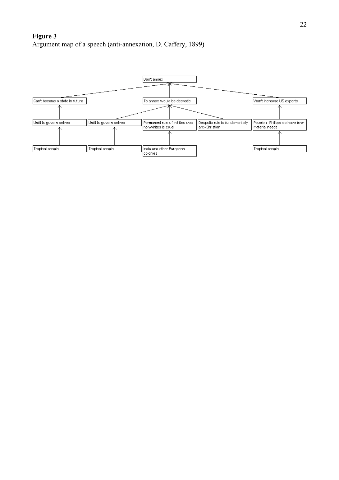# **Figure 3** Argument map of a speech (anti -annexation, D. Caffery, 1899)

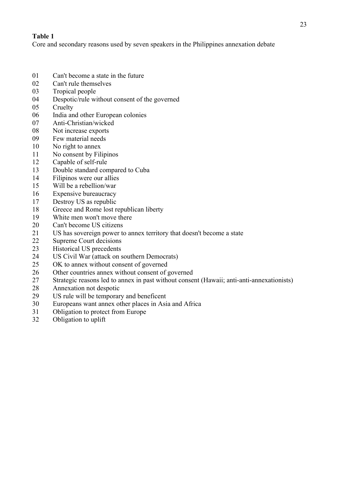## **Table 1**

Core and secondary reasons used by seven speakers in the Philippines annexation debate

- Can't become a state in the future
- Can't rule themselves
- Tropical people
- Despotic/rule without consent of the governed
- Cruelty
- India and other European colonies
- Anti-Christian/wicked
- Not increase exports
- Few material needs
- No right to annex
- No consent by Filipinos
- Capable of self-rule
- Double standard compared to Cuba
- Filipinos were our allies
- Will be a rebellion/war
- Expensive bureaucracy
- Destroy US as republic
- Greece and Rome lost republican liberty
- White men won't move there
- Can't become US citizens
- US has sovereign power to annex territory that doesn't become a state
- Supreme Court decisions
- Historical US precedents
- US Civil War (attack on southern Democrats)
- OK to annex without consent of governed
- Other countries annex without consent of governed
- Strategic reasons led to annex in past without consent (Hawaii; anti-anti-annexationists)
- Annexation not despotic
- US rule will be temporary and beneficent
- Europeans want annex other places in Asia and Africa
- Obligation to protect from Europe
- Obligation to uplift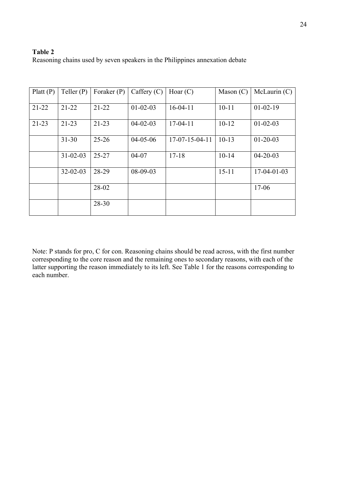## **Table 2**

Reasoning chains used by seven speakers in the Philippines annexation debate

| Platt $(P)$ | Teller $(P)$   | Foraker $(P)$ | Caffery $(C)$  | Hoar $(C)$               | Mason $(C)$ | McLaurin (C)   |
|-------------|----------------|---------------|----------------|--------------------------|-------------|----------------|
| $21-22$     | $21 - 22$      | $21 - 22$     | $01 - 02 - 03$ | $16-04-11$               | $10 - 11$   | $01 - 02 - 19$ |
| $21 - 23$   | $21 - 23$      | $21 - 23$     | $04 - 02 - 03$ | $17-04-11$               | $10 - 12$   | $01 - 02 - 03$ |
|             | $31 - 30$      | $25 - 26$     | $04 - 05 - 06$ | $17 - 07 - 15 - 04 - 11$ | $10-13$     | $01 - 20 - 03$ |
|             | $31 - 02 - 03$ | $25 - 27$     | $04 - 07$      | $17 - 18$                | $10-14$     | $04 - 20 - 03$ |
|             | $32 - 02 - 03$ | 28-29         | $08-09-03$     |                          | $15 - 11$   | $17-04-01-03$  |
|             |                | 28-02         |                |                          |             | $17 - 06$      |
|             |                | 28-30         |                |                          |             |                |

Note: P stands for pro, C for con. Reasoning chains should be read across, with the first number corresponding to the core reason and the remaining ones to secondary reasons, with each of the latter supporting the reason immediately to its left. See Table 1 for the reasons corresponding to each number.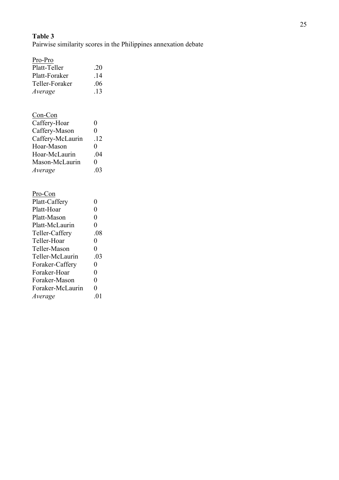# **Table 3**

Pairwise similarity scores in the Philippines annexation debate

| Pro-Pro          |                |
|------------------|----------------|
| Platt-Teller     | .20            |
| Platt-Foraker    | .14            |
| Teller-Foraker   | .06            |
| Average          | .13            |
|                  |                |
| <u>Con-Con</u>   |                |
| Caffery-Hoar     | 0              |
| Caffery-Mason    | $\overline{0}$ |
| Caffery-McLaurin | .12            |
| Hoar-Mason       | 0              |
| Hoar-McLaurin    | .04            |
| Mason-McLaurin   | 0              |
| Average          | .03            |
|                  |                |
| Pro-Con          |                |
| Platt-Caffery    | 0              |
| Platt-Hoar       | $\overline{0}$ |
| Platt-Mason      | $\overline{0}$ |
| Platt-McLaurin   | $\overline{0}$ |
| Teller-Caffery   | .08            |
| Teller-Hoar      | 0              |
| Teller-Mason     | $\overline{0}$ |
| Teller-McLaurin  | .03            |
| Foraker-Caffery  | 0              |
| Foraker-Hoar     | $\pmb{0}$      |
| Foraker-Mason    | $\overline{0}$ |

Foraker-McLaurin 0 *Average* .01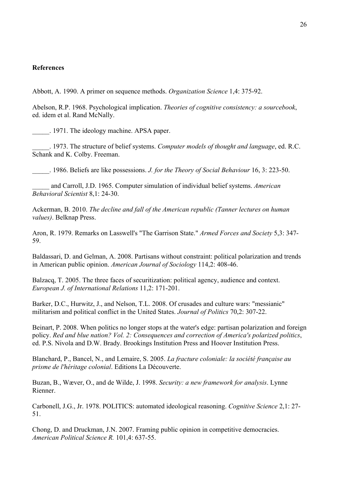## **References**

Abbott, A. 1990. A primer on sequence methods. *Organization Science* 1,4: 375-92.

Abelson, R.P. 1968. Psychological implication. *Theories of cognitive consistency: a sourcebook*, ed. idem et al. Rand McNally.

\_\_\_\_\_. 1971. The ideology machine. APSA paper.

\_\_\_\_\_. 1973. The structure of belief systems. *Computer models of thought and language*, ed. R.C. Schank and K. Colby. Freeman.

\_\_\_\_\_. 1986. Beliefs are like possessions. *J. for the Theory of Social Behaviour* 16, 3: 223-50.

\_\_\_\_\_ and Carroll, J.D. 1965. Computer simulation of individual belief systems. *American Behavioral Scientist* 8,1: 24-30.

Ackerman, B. 2010. *The decline and fall of the American republic (Tanner lectures on human values)*. Belknap Press.

Aron, R. 1979. Remarks on Lasswell's "The Garrison State." *Armed Forces and Society* 5,3: 347- 59.

Baldassari, D. and Gelman, A. 2008. Partisans without constraint: political polarization and trends in American public opinion. *American Journal of Sociology* 114,2: 408-46.

Balzacq, T. 2005. The three faces of securitization: political agency, audience and context. *European J. of International Relations* 11,2: 171-201.

Barker, D.C., Hurwitz, J., and Nelson, T.L. 2008. Of crusades and culture wars: "messianic" militarism and political conflict in the United States. *Journal of Politics* 70,2: 307-22.

Beinart, P. 2008. When politics no longer stops at the water's edge: partisan polarization and foreign policy. *Red and blue nation? Vol. 2: Consequences and correction of America's polarized politics*, ed. P.S. Nivola and D.W. Brady. Brookings Institution Press and Hoover Institution Press.

Blanchard, P., Bancel, N., and Lemaire, S. 2005. *La fracture coloniale: la société française au prisme de l'héritage colonial*. Editions La Découverte.

Buzan, B., Wæver, O., and de Wilde, J. 1998. *Security: a new framework for analysis*. Lynne Rienner.

Carbonell, J.G., Jr. 1978. POLITICS: automated ideological reasoning. *Cognitive Science* 2,1: 27- 51.

Chong, D. and Druckman, J.N. 2007. Framing public opinion in competitive democracies. *American Political Science R.* 101,4: 637-55.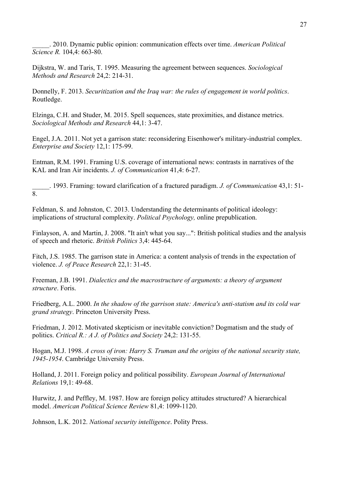\_\_\_\_\_. 2010. Dynamic public opinion: communication effects over time. *American Political Science R.* 104,4: 663-80.

Dijkstra, W. and Taris, T. 1995. Measuring the agreement between sequences. *Sociological Methods and Research* 24,2: 214-31.

Donnelly, F. 2013. *Securitization and the Iraq war: the rules of engagement in world politics*. Routledge.

Elzinga, C.H. and Studer, M. 2015. Spell sequences, state proximities, and distance metrics. *Sociological Methods and Research* 44,1: 3-47.

Engel, J.A. 2011. Not yet a garrison state: reconsidering Eisenhower's military-industrial complex. *Enterprise and Society* 12,1: 175-99.

Entman, R.M. 1991. Framing U.S. coverage of international news: contrasts in narratives of the KAL and Iran Air incidents. *J. of Communication* 41,4: 6-27.

\_\_\_\_\_. 1993. Framing: toward clarification of a fractured paradigm. *J. of Communication* 43,1: 51-  $\overline{8}$ 

Feldman, S. and Johnston, C. 2013. Understanding the determinants of political ideology: implications of structural complexity. *Political Psychology,* online prepublication.

Finlayson, A. and Martin, J. 2008. "It ain't what you say...": British political studies and the analysis of speech and rhetoric. *British Politics* 3,4: 445-64.

Fitch, J.S. 1985. The garrison state in America: a content analysis of trends in the expectation of violence. *J. of Peace Research* 22,1: 31-45.

Freeman, J.B. 1991. *Dialectics and the macrostructure of arguments: a theory of argument structure*. Foris.

Friedberg, A.L. 2000. *In the shadow of the garrison state: America's anti-statism and its cold war grand strategy*. Princeton University Press.

Friedman, J. 2012. Motivated skepticism or inevitable conviction? Dogmatism and the study of politics. *Critical R.: A J. of Politics and Society* 24,2: 131-55.

Hogan, M.J. 1998. *A cross of iron: Harry S. Truman and the origins of the national security state, 1945-1954*. Cambridge University Press.

Holland, J. 2011. Foreign policy and political possibility. *European Journal of International Relations* 19,1: 49-68.

Hurwitz, J. and Peffley, M. 1987. How are foreign policy attitudes structured? A hierarchical model. *American Political Science Review* 81,4: 1099-1120.

Johnson, L.K. 2012. *National security intelligence*. Polity Press.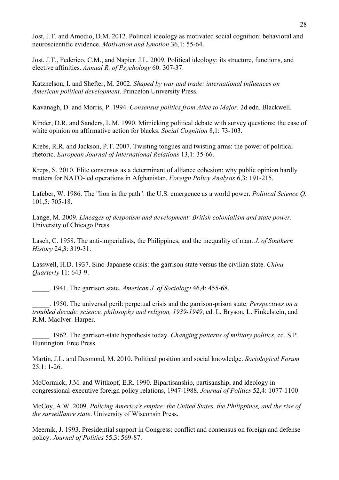Jost, J.T. and Amodio, D.M. 2012. Political ideology as motivated social cognition: behavioral and neuroscientific evidence. *Motivation and Emotion* 36,1: 55-64.

Jost, J.T., Federico, C.M., and Napier, J.L. 2009. Political ideology: its structure, functions, and elective affinities. *Annual R. of Psychology* 60: 307-37.

Katznelson, I. and Shefter, M. 2002. *Shaped by war and trade: international influences on American political development*. Princeton University Press.

Kavanagh, D. and Morris, P. 1994. *Consensus politics from Atlee to Major*. 2d edn. Blackwell.

Kinder, D.R. and Sanders, L.M. 1990. Mimicking political debate with survey questions: the case of white opinion on affirmative action for blacks. *Social Cognition* 8,1: 73-103.

Krebs, R.R. and Jackson, P.T. 2007. Twisting tongues and twisting arms: the power of political rhetoric. *European Journal of International Relations* 13,1: 35-66.

Kreps, S. 2010. Elite consensus as a determinant of alliance cohesion: why public opinion hardly matters for NATO-led operations in Afghanistan. *Foreign Policy Analysis* 6,3: 191-215.

Lafeber, W. 1986. The "lion in the path": the U.S. emergence as a world power. *Political Science Q*. 101,5: 705-18.

Lange, M. 2009. *Lineages of despotism and development: British colonialism and state power*. University of Chicago Press.

Lasch, C. 1958. The anti-imperialists, the Philippines, and the inequality of man. *J. of Southern History* 24,3: 319-31.

Lasswell, H.D. 1937. Sino-Japanese crisis: the garrison state versus the civilian state. *China Quarterly* 11: 643-9.

\_\_\_\_\_. 1941. The garrison state. *American J. of Sociology* 46,4: 455-68.

\_\_\_\_\_. 1950. The universal peril: perpetual crisis and the garrison-prison state. *Perspectives on a troubled decade: science, philosophy and religion, 1939-1949*, ed. L. Bryson, L. Finkelstein, and R.M. MacIver. Harper.

\_\_\_\_\_. 1962. The garrison-state hypothesis today. *Changing patterns of military politics*, ed. S.P. Huntington. Free Press.

Martin, J.L. and Desmond, M. 2010. Political position and social knowledge. *Sociological Forum* 25,1: 1-26.

McCormick, J.M. and Wittkopf, E.R. 1990. Bipartisanship, partisanship, and ideology in congressional-executive foreign policy relations, 1947-1988. *Journal of Politics* 52,4: 1077-1100

McCoy, A.W. 2009. *Policing America's empire: the United States, the Philippines, and the rise of the surveillance state*. University of Wisconsin Press.

Meernik, J. 1993. Presidential support in Congress: conflict and consensus on foreign and defense policy. *Journal of Politics* 55,3: 569-87.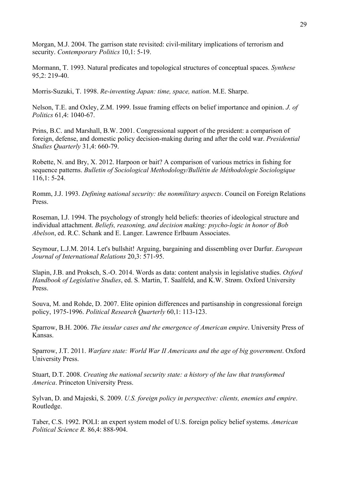Morgan, M.J. 2004. The garrison state revisited: civil-military implications of terrorism and security. *Contemporary Politics* 10,1: 5-19.

Mormann, T. 1993. Natural predicates and topological structures of conceptual spaces. *Synthese* 95,2: 219-40.

Morris-Suzuki, T. 1998. *Re-inventing Japan: time, space, nation*. M.E. Sharpe.

Nelson, T.E. and Oxley, Z.M. 1999. Issue framing effects on belief importance and opinion. *J. of Politics* 61,4: 1040-67.

Prins, B.C. and Marshall, B.W. 2001. Congressional support of the president: a comparison of foreign, defense, and domestic policy decision-making during and after the cold war. *Presidential Studies Quarterly* 31,4: 660-79.

Robette, N. and Bry, X. 2012. Harpoon or bait? A comparison of various metrics in fishing for sequence patterns. *Bulletin of Sociological Methodology/Bullétin de Méthodologie Sociologique* 116,1: 5-24.

Romm, J.J. 1993. *Defining national security: the nonmilitary aspects*. Council on Foreign Relations Press.

Roseman, I.J. 1994. The psychology of strongly held beliefs: theories of ideological structure and individual attachment. *Beliefs, reasoning, and decision making: psycho-logic in honor of Bob Abelson*, ed. R.C. Schank and E. Langer. Lawrence Erlbaum Associates.

Seymour, L.J.M. 2014. Let's bullshit! Arguing, bargaining and dissembling over Darfur. *European Journal of International Relations* 20,3: 571-95.

Slapin, J.B. and Proksch, S.-O. 2014. Words as data: content analysis in legislative studies. *Oxford Handbook of Legislative Studies*, ed. S. Martin, T. Saalfeld, and K.W. Strøm. Oxford University Press.

Souva, M. and Rohde, D. 2007. Elite opinion differences and partisanship in congressional foreign policy, 1975-1996. *Political Research Quarterly* 60,1: 113-123.

Sparrow, B.H. 2006. *The insular cases and the emergence of American empire*. University Press of Kansas.

Sparrow, J.T. 2011. *Warfare state: World War II Americans and the age of big government*. Oxford University Press.

Stuart, D.T. 2008. *Creating the national security state: a history of the law that transformed America*. Princeton University Press.

Sylvan, D. and Majeski, S. 2009. *U.S. foreign policy in perspective: clients, enemies and empire*. Routledge.

Taber, C.S. 1992. POLI: an expert system model of U.S. foreign policy belief systems. *American Political Science R.* 86,4: 888-904.